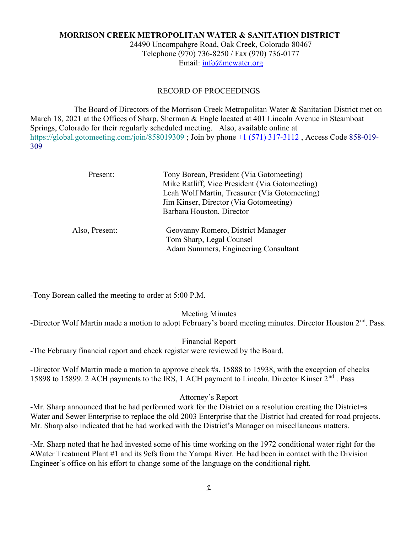# MORRISON CREEK METROPOLITAN WATER & SANITATION DISTRICT

24490 Uncompahgre Road, Oak Creek, Colorado 80467 Telephone (970) 736-8250 / Fax (970) 736-0177 Email: info@mcwater.org

#### RECORD OF PROCEEDINGS

 The Board of Directors of the Morrison Creek Metropolitan Water & Sanitation District met on March 18, 2021 at the Offices of Sharp, Sherman & Engle located at 401 Lincoln Avenue in Steamboat Springs, Colorado for their regularly scheduled meeting. Also, available online at https://global.gotomeeting.com/join/858019309 ; Join by phone +1 (571) 317-3112 , Access Code 858-019- 309

| Present:       | Tony Borean, President (Via Gotomeeting)<br>Mike Ratliff, Vice President (Via Gotomeeting)<br>Leah Wolf Martin, Treasurer (Via Gotomeeting) |
|----------------|---------------------------------------------------------------------------------------------------------------------------------------------|
|                | Jim Kinser, Director (Via Gotomeeting)                                                                                                      |
|                | Barbara Houston, Director                                                                                                                   |
| Also, Present: | Geovanny Romero, District Manager                                                                                                           |
|                | Tom Sharp, Legal Counsel<br>Adam Summers, Engineering Consultant                                                                            |

-Tony Borean called the meeting to order at 5:00 P.M.

Meeting Minutes

-Director Wolf Martin made a motion to adopt February's board meeting minutes. Director Houston 2<sup>nd</sup>. Pass.

Financial Report -The February financial report and check register were reviewed by the Board.

-Director Wolf Martin made a motion to approve check #s. 15888 to 15938, with the exception of checks 15898 to 15899. 2 ACH payments to the IRS, 1 ACH payment to Lincoln. Director Kinser 2<sup>nd</sup>. Pass

### Attorney's Report

-Mr. Sharp announced that he had performed work for the District on a resolution creating the District=s Water and Sewer Enterprise to replace the old 2003 Enterprise that the District had created for road projects. Mr. Sharp also indicated that he had worked with the District's Manager on miscellaneous matters.

-Mr. Sharp noted that he had invested some of his time working on the 1972 conditional water right for the AWater Treatment Plant #1 and its 9cfs from the Yampa River. He had been in contact with the Division Engineer's office on his effort to change some of the language on the conditional right.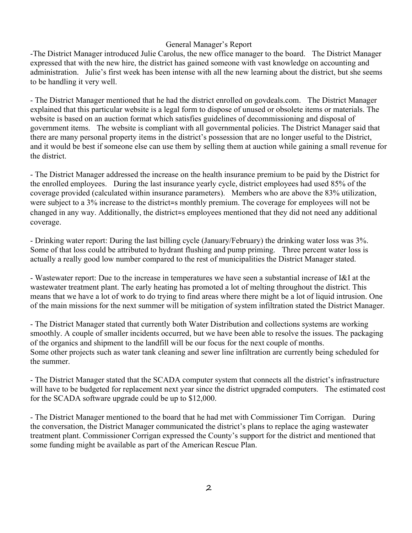## General Manager's Report

-The District Manager introduced Julie Carolus, the new office manager to the board. The District Manager expressed that with the new hire, the district has gained someone with vast knowledge on accounting and administration. Julie's first week has been intense with all the new learning about the district, but she seems to be handling it very well.

- The District Manager mentioned that he had the district enrolled on govdeals.com. The District Manager explained that this particular website is a legal form to dispose of unused or obsolete items or materials. The website is based on an auction format which satisfies guidelines of decommissioning and disposal of government items. The website is compliant with all governmental policies. The District Manager said that there are many personal property items in the district's possession that are no longer useful to the District, and it would be best if someone else can use them by selling them at auction while gaining a small revenue for the district.

- The District Manager addressed the increase on the health insurance premium to be paid by the District for the enrolled employees. During the last insurance yearly cycle, district employees had used 85% of the coverage provided (calculated within insurance parameters). Members who are above the 83% utilization, were subject to a 3% increase to the district=s monthly premium. The coverage for employees will not be changed in any way. Additionally, the district=s employees mentioned that they did not need any additional coverage.

- Drinking water report: During the last billing cycle (January/February) the drinking water loss was 3%. Some of that loss could be attributed to hydrant flushing and pump priming. Three percent water loss is actually a really good low number compared to the rest of municipalities the District Manager stated.

- Wastewater report: Due to the increase in temperatures we have seen a substantial increase of I&I at the wastewater treatment plant. The early heating has promoted a lot of melting throughout the district. This means that we have a lot of work to do trying to find areas where there might be a lot of liquid intrusion. One of the main missions for the next summer will be mitigation of system infiltration stated the District Manager.

- The District Manager stated that currently both Water Distribution and collections systems are working smoothly. A couple of smaller incidents occurred, but we have been able to resolve the issues. The packaging of the organics and shipment to the landfill will be our focus for the next couple of months. Some other projects such as water tank cleaning and sewer line infiltration are currently being scheduled for the summer.

- The District Manager stated that the SCADA computer system that connects all the district's infrastructure will have to be budgeted for replacement next year since the district upgraded computers. The estimated cost for the SCADA software upgrade could be up to \$12,000.

- The District Manager mentioned to the board that he had met with Commissioner Tim Corrigan. During the conversation, the District Manager communicated the district's plans to replace the aging wastewater treatment plant. Commissioner Corrigan expressed the County's support for the district and mentioned that some funding might be available as part of the American Rescue Plan.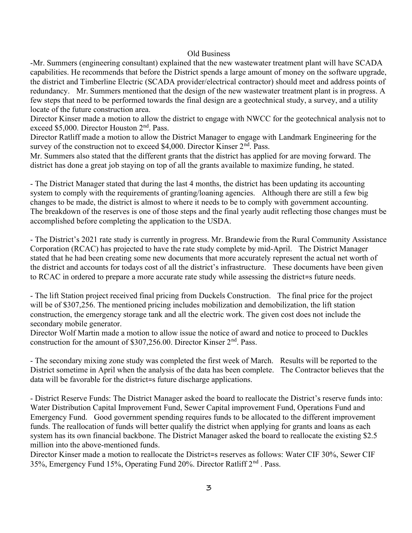#### Old Business

-Mr. Summers (engineering consultant) explained that the new wastewater treatment plant will have SCADA capabilities. He recommends that before the District spends a large amount of money on the software upgrade, the district and Timberline Electric (SCADA provider/electrical contractor) should meet and address points of redundancy. Mr. Summers mentioned that the design of the new wastewater treatment plant is in progress. A few steps that need to be performed towards the final design are a geotechnical study, a survey, and a utility locate of the future construction area.

Director Kinser made a motion to allow the district to engage with NWCC for the geotechnical analysis not to exceed \$5,000. Director Houston 2<sup>nd</sup>. Pass.

Director Ratliff made a motion to allow the District Manager to engage with Landmark Engineering for the survey of the construction not to exceed \$4,000. Director Kinser 2<sup>nd</sup>. Pass.

Mr. Summers also stated that the different grants that the district has applied for are moving forward. The district has done a great job staying on top of all the grants available to maximize funding, he stated.

- The District Manager stated that during the last 4 months, the district has been updating its accounting system to comply with the requirements of granting/loaning agencies. Although there are still a few big changes to be made, the district is almost to where it needs to be to comply with government accounting. The breakdown of the reserves is one of those steps and the final yearly audit reflecting those changes must be accomplished before completing the application to the USDA.

- The District's 2021 rate study is currently in progress. Mr. Brandewie from the Rural Community Assistance Corporation (RCAC) has projected to have the rate study complete by mid-April. The District Manager stated that he had been creating some new documents that more accurately represent the actual net worth of the district and accounts for todays cost of all the district's infrastructure. These documents have been given to RCAC in ordered to prepare a more accurate rate study while assessing the district=s future needs.

- The lift Station project received final pricing from Duckels Construction. The final price for the project will be of \$307,256. The mentioned pricing includes mobilization and demobilization, the lift station construction, the emergency storage tank and all the electric work. The given cost does not include the secondary mobile generator.

Director Wolf Martin made a motion to allow issue the notice of award and notice to proceed to Duckles construction for the amount of \$307,256.00. Director Kinser 2<sup>nd</sup>. Pass.

- The secondary mixing zone study was completed the first week of March. Results will be reported to the District sometime in April when the analysis of the data has been complete. The Contractor believes that the data will be favorable for the district=s future discharge applications.

- District Reserve Funds: The District Manager asked the board to reallocate the District's reserve funds into: Water Distribution Capital Improvement Fund, Sewer Capital improvement Fund, Operations Fund and Emergency Fund. Good government spending requires funds to be allocated to the different improvement funds. The reallocation of funds will better qualify the district when applying for grants and loans as each system has its own financial backbone. The District Manager asked the board to reallocate the existing \$2.5 million into the above-mentioned funds.

Director Kinser made a motion to reallocate the District=s reserves as follows: Water CIF 30%, Sewer CIF 35%, Emergency Fund 15%, Operating Fund 20%. Director Ratliff 2nd . Pass.